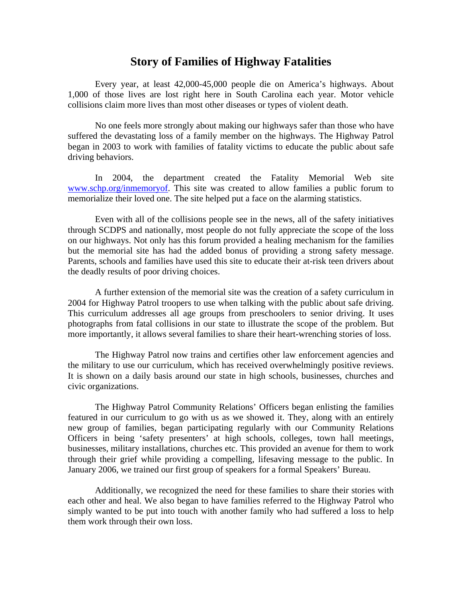## **Story of Families of Highway Fatalities**

Every year, at least 42,000-45,000 people die on America's highways. About 1,000 of those lives are lost right here in South Carolina each year. Motor vehicle collisions claim more lives than most other diseases or types of violent death.

No one feels more strongly about making our highways safer than those who have suffered the devastating loss of a family member on the highways. The Highway Patrol began in 2003 to work with families of fatality victims to educate the public about safe driving behaviors.

In 2004, the department created the Fatality Memorial Web site [www.schp.org/inmemoryof.](http://www.schp.org/inmemoryof) This site was created to allow families a public forum to memorialize their loved one. The site helped put a face on the alarming statistics.

Even with all of the collisions people see in the news, all of the safety initiatives through SCDPS and nationally, most people do not fully appreciate the scope of the loss on our highways. Not only has this forum provided a healing mechanism for the families but the memorial site has had the added bonus of providing a strong safety message. Parents, schools and families have used this site to educate their at-risk teen drivers about the deadly results of poor driving choices.

A further extension of the memorial site was the creation of a safety curriculum in 2004 for Highway Patrol troopers to use when talking with the public about safe driving. This curriculum addresses all age groups from preschoolers to senior driving. It uses photographs from fatal collisions in our state to illustrate the scope of the problem. But more importantly, it allows several families to share their heart-wrenching stories of loss.

The Highway Patrol now trains and certifies other law enforcement agencies and the military to use our curriculum, which has received overwhelmingly positive reviews. It is shown on a daily basis around our state in high schools, businesses, churches and civic organizations.

The Highway Patrol Community Relations' Officers began enlisting the families featured in our curriculum to go with us as we showed it. They, along with an entirely new group of families, began participating regularly with our Community Relations Officers in being 'safety presenters' at high schools, colleges, town hall meetings, businesses, military installations, churches etc. This provided an avenue for them to work through their grief while providing a compelling, lifesaving message to the public. In January 2006, we trained our first group of speakers for a formal Speakers' Bureau.

Additionally, we recognized the need for these families to share their stories with each other and heal. We also began to have families referred to the Highway Patrol who simply wanted to be put into touch with another family who had suffered a loss to help them work through their own loss.